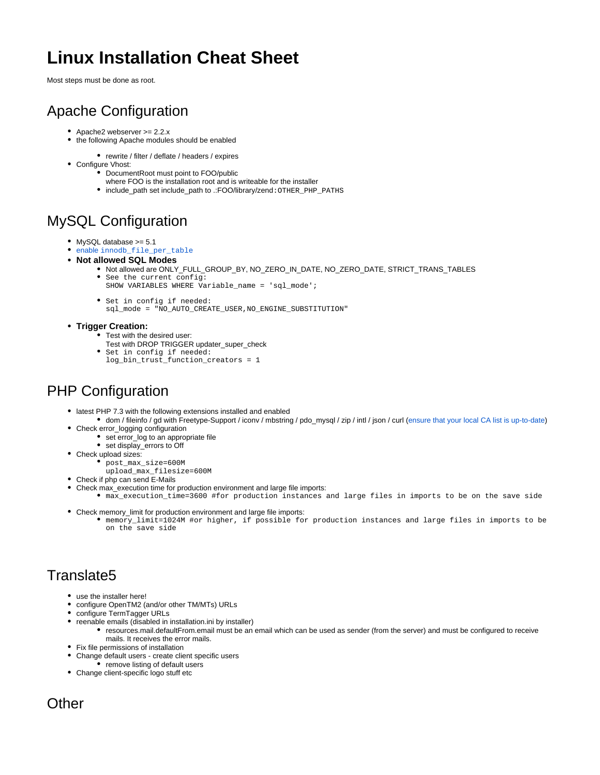# **Linux Installation Cheat Sheet**

Most steps must be done as root.

## Apache Configuration

- Apache2 webserver >= 2.2.x
- the following Apache modules should be enabled
	- rewrite / filter / deflate / headers / expires
- Configure Vhost:
	- DocumentRoot must point to FOO/public
	- where FOO is the installation root and is writeable for the installer
	- include\_path set include\_path to .:FOO/library/zend: OTHER\_PHP\_PATHS

### MySQL Configuration

- MySQL database >= 5.1
- [enable](http://confluence.translate5.net/display/TIU/Server+environment+-+configure+from+scratch) [innodb\\_file\\_per\\_table](http://confluence.translate5.net/display/TIU/Server+environment+-+configure+from+scratch)
- **Not allowed SQL Modes**
	- Not allowed are ONLY\_FULL\_GROUP\_BY, NO\_ZERO\_IN\_DATE, NO\_ZERO\_DATE, STRICT\_TRANS\_TABLES See the current config:
		- SHOW VARIABLES WHERE Variable\_name = 'sql\_mode';
	- Set in config if needed:
		- sql\_mode = "NO\_AUTO\_CREATE\_USER,NO\_ENGINE\_SUBSTITUTION"
- **Trigger Creation:**
	- Test with the desired user:
	- Test with DROP TRIGGER updater\_super\_check
	- Set in config if needed: log\_bin\_trust\_function\_creators = 1

### PHP Configuration

- latest PHP 7.3 with the following extensions installed and enabled
	- dom / fileinfo / gd with Freetype-Support / iconv / mbstring / pdo\_mysql / zip / intl / json / curl ([ensure that your local CA list is up-to-date](https://confluence.translate5.net/display/TIU/Curl+SSL+Problems))
- Check error\_logging configuration
	- set error\_log to an appropriate file
- set display\_errors to Off
- Check upload sizes:
	- post\_max\_size=600M
	- upload\_max\_filesize=600M
- Check if php can send E-Mails
- Check max\_execution time for production environment and large file imports:
	- max\_execution\_time=3600 #for production instances and large files in imports to be on the save side
- Check memory\_limit for production environment and large file imports:
	- memory\_limit=1024M #or higher, if possible for production instances and large files in imports to be on the save side

#### Translate5

- use the installer here!
- configure OpenTM2 (and/or other TM/MTs) URLs
- configure TermTagger URLs
- reenable emails (disabled in installation.ini by installer)
	- resources.mail.defaultFrom.email must be an email which can be used as sender (from the server) and must be configured to receive mails. It receives the error mails.
- Fix file permissions of installation
- Change default users create client specific users
	- $\bullet$  remove listing of default users
- Change client-specific logo stuff etc

#### **Other**